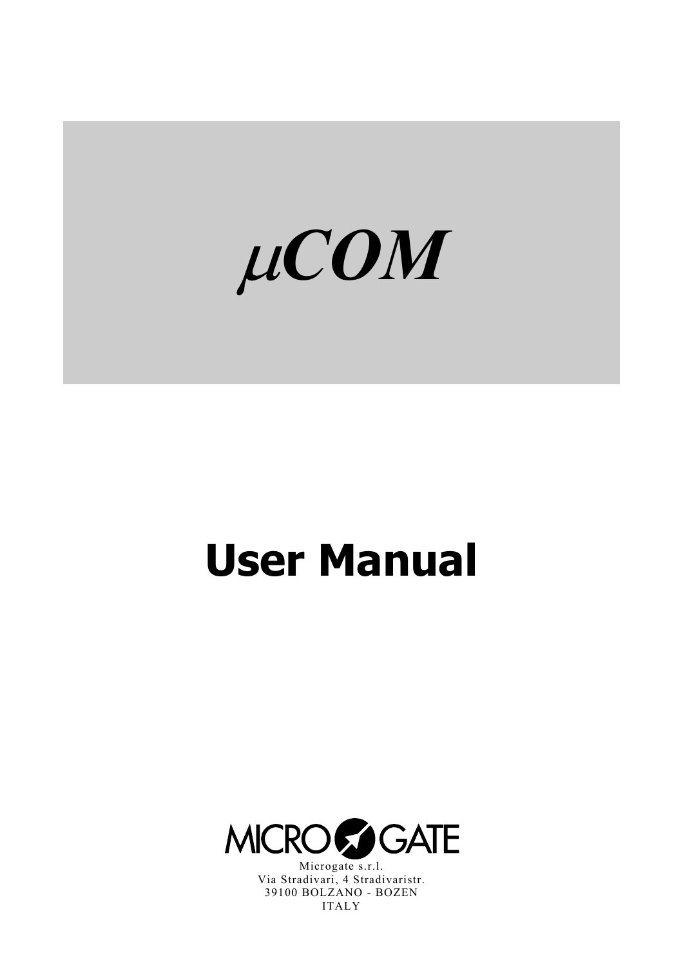

# **User Manual**



Microgate s.r.l. Via Stradivari, 4 Stradivaristr. 39100 BOLZANO - BOZEN ITALY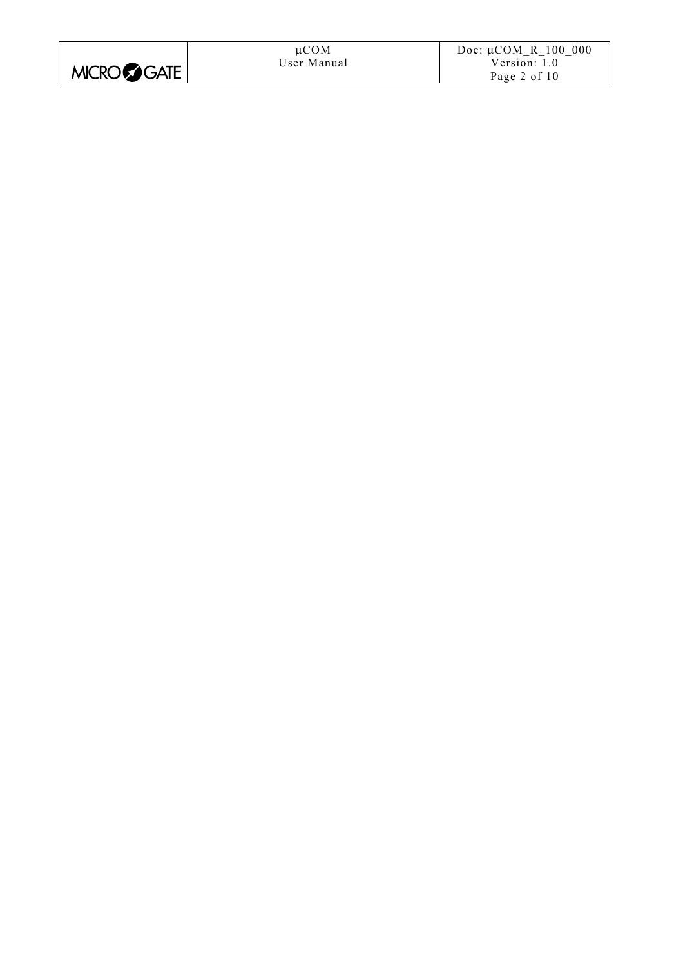|                      | $\mu$ COM   | Doc: $\mu$ COM R 100 000 |
|----------------------|-------------|--------------------------|
|                      | User Manual | Version: 1.0             |
| MICRO <b>CO</b> GATE |             | Page 2 of $10$           |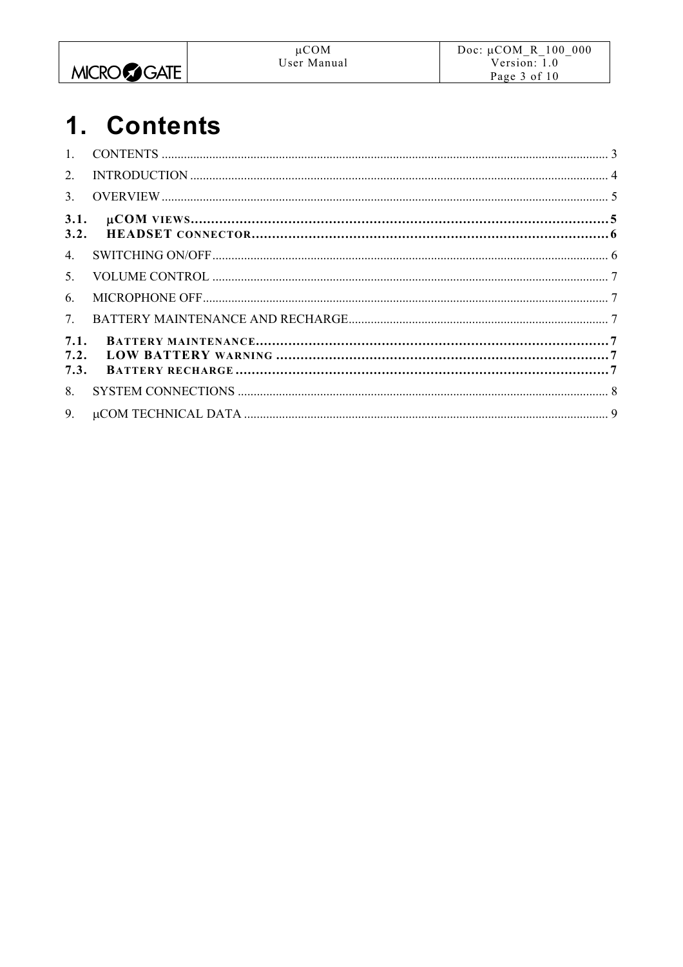<span id="page-2-0"></span>

| <b>MICROCOGATE</b> |  |
|--------------------|--|

## 1. Contents

| 7.1.<br>7.2.<br>7.3. |
|----------------------|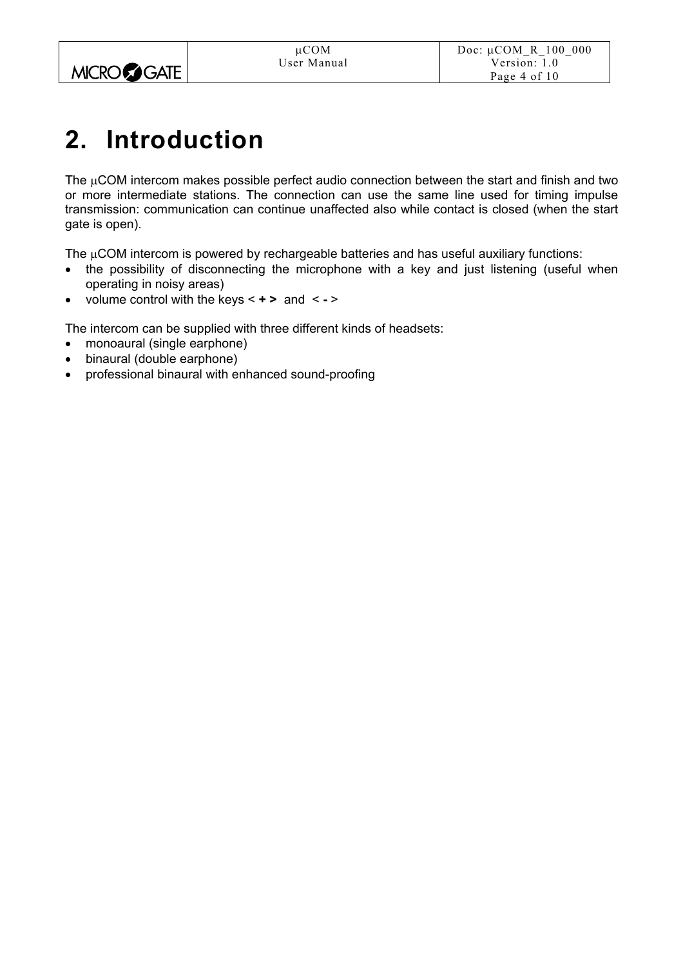<span id="page-3-0"></span>

### **2. Introduction**

The  $\mu$ COM intercom makes possible perfect audio connection between the start and finish and two or more intermediate stations. The connection can use the same line used for timing impulse transmission: communication can continue unaffected also while contact is closed (when the start gate is open).

The  $\mu$ COM intercom is powered by rechargeable batteries and has useful auxiliary functions:

- the possibility of disconnecting the microphone with a key and just listening (useful when operating in noisy areas)
- volume control with the keys < **+ >** and < **-** >

The intercom can be supplied with three different kinds of headsets:

- monoaural (single earphone)
- binaural (double earphone)
- professional binaural with enhanced sound-proofing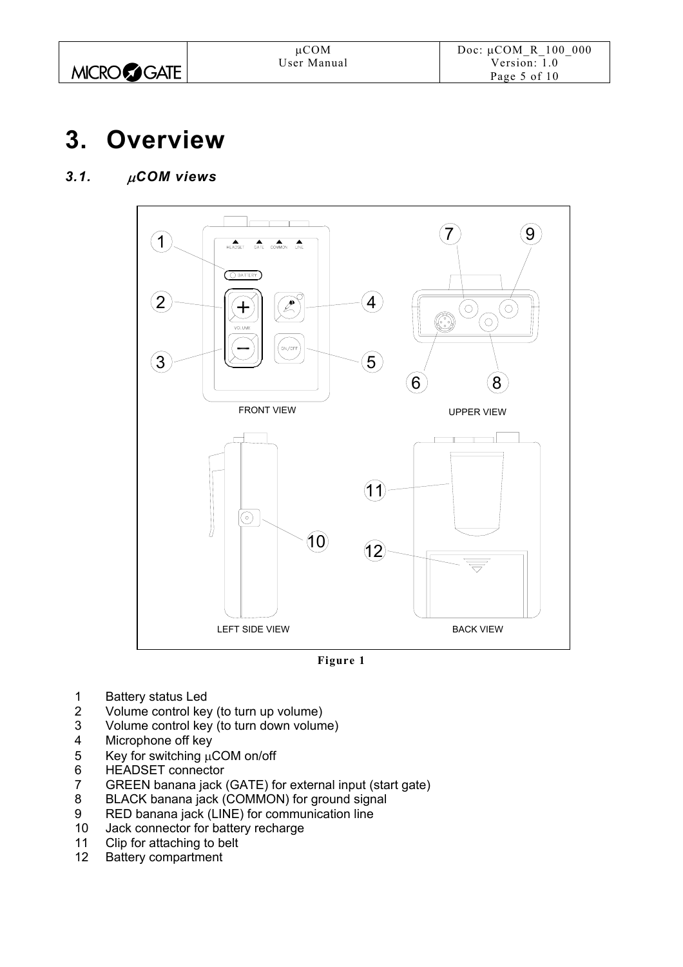<span id="page-4-0"></span>

|                      | $\mu$ COM   | Doc: $\mu$ COM R 100 000 |
|----------------------|-------------|--------------------------|
|                      | User Manual | Version: $1.0$           |
| MICRO <b>CO</b> GATE |             | Page 5 of 10             |

#### **3. Overview**

#### *3.1.* µ*COM views*



**Figure 1** 

- 1 Battery status Led
- 2 Volume control key (to turn up volume)
- 3 Volume control key (to turn down volume)
- 4 Microphone off key
- 5 Key for switching µCOM on/off
- 6 HEADSET connector
- 7 GREEN banana jack (GATE) for external input (start gate)
- 8 BLACK banana jack (COMMON) for ground signal<br>9 RED banana jack (LINE) for communication line
- 9 RED banana jack (LINE) for communication line<br>10 Jack connector for battery recharge
- Jack connector for battery recharge
- 11 Clip for attaching to belt
- 12 Battery compartment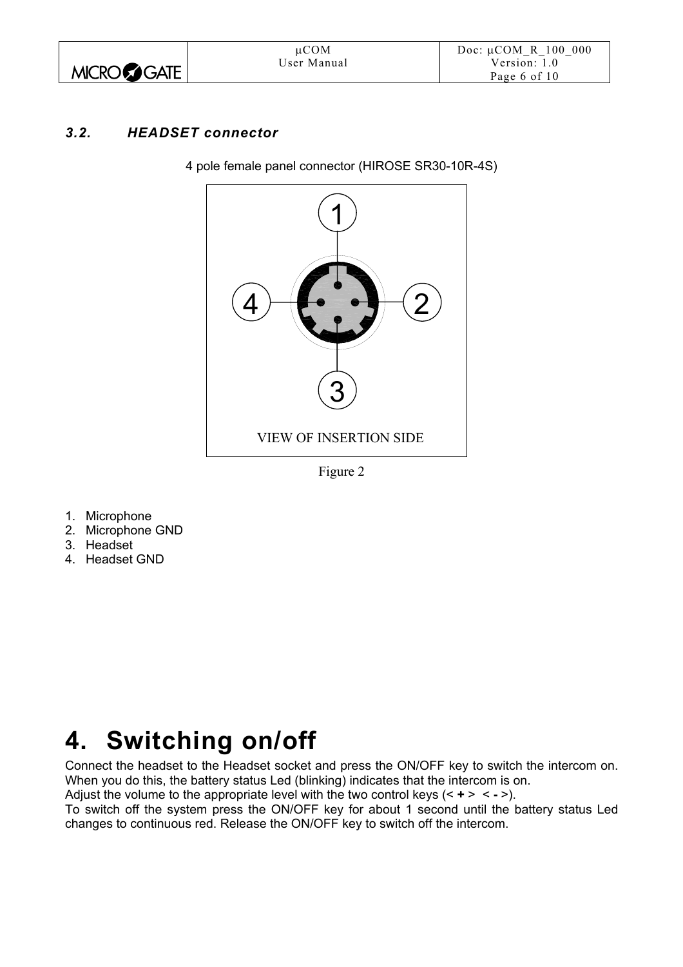<span id="page-5-0"></span>

|                      | $\mu$ COM   | Doc: $\mu$ COM R 100 000 |
|----------------------|-------------|--------------------------|
|                      | User Manual | Version: 1.0             |
| MICRO <b>CO</b> GATE |             | Page 6 of 10             |

#### *3.2. HEADSET connector*

4 pole female panel connector (HIROSE SR30-10R-4S)



Figure 2

- 1. Microphone
- 2. Microphone GND
- 3. Headset
- 4. Headset GND

### **4. Switching on/off**

Connect the headset to the Headset socket and press the ON/OFF key to switch the intercom on. When you do this, the battery status Led (blinking) indicates that the intercom is on.

Adjust the volume to the appropriate level with the two control keys  $($  <  $+$  >  $\le$   $\le$   $\ge$ ).

To switch off the system press the ON/OFF key for about 1 second until the battery status Led changes to continuous red. Release the ON/OFF key to switch off the intercom.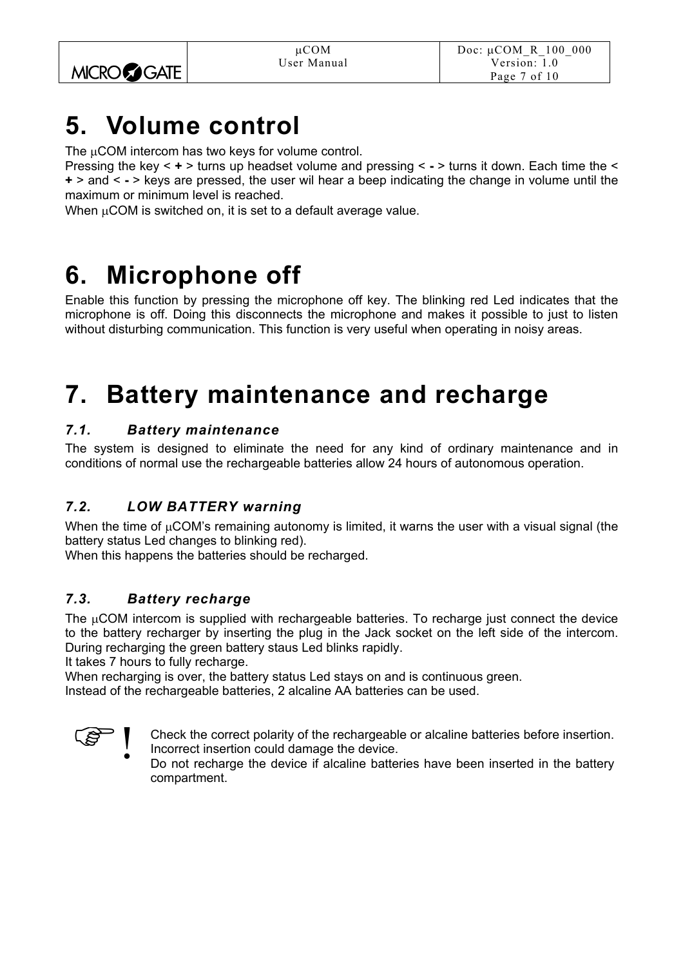<span id="page-6-0"></span>

|                      | $\mu$ COM   | Doc: $\mu$ COM R 100 000     |
|----------------------|-------------|------------------------------|
| MICRO <b>CO</b> GATE | User Manual | Version: 1.0<br>Page 7 of 10 |

### **5. Volume control**

The  $\mu$ COM intercom has two keys for volume control.

Pressing the key  $\leq$  +  $>$  turns up headset volume and pressing  $\leq$  -  $>$  turns it down. Each time the  $\leq$ **+** > and < **-** > keys are pressed, the user wil hear a beep indicating the change in volume until the maximum or minimum level is reached.

When  $\mu$ COM is switched on, it is set to a default average value.

### **6. Microphone off**

Enable this function by pressing the microphone off key. The blinking red Led indicates that the microphone is off. Doing this disconnects the microphone and makes it possible to just to listen without disturbing communication. This function is very useful when operating in noisy areas.

### **7. Battery maintenance and recharge**

#### *7.1. Battery maintenance*

The system is designed to eliminate the need for any kind of ordinary maintenance and in conditions of normal use the rechargeable batteries allow 24 hours of autonomous operation.

#### *7.2. LOW BATTERY warning*

When the time of  $\mu$ COM's remaining autonomy is limited, it warns the user with a visual signal (the battery status Led changes to blinking red).

When this happens the batteries should be recharged.

#### *7.3. Battery recharge*

The uCOM intercom is supplied with rechargeable batteries. To recharge just connect the device to the battery recharger by inserting the plug in the Jack socket on the left side of the intercom. During recharging the green battery staus Led blinks rapidly.

It takes 7 hours to fully recharge.

When recharging is over, the battery status Led stays on and is continuous green. Instead of the rechargeable batteries, 2 alcaline AA batteries can be used.



)! Check the correct polarity of the rechargeable or alcaline batteries before insertion. Incorrect insertion could damage the device.

Do not recharge the device if alcaline batteries have been inserted in the battery compartment.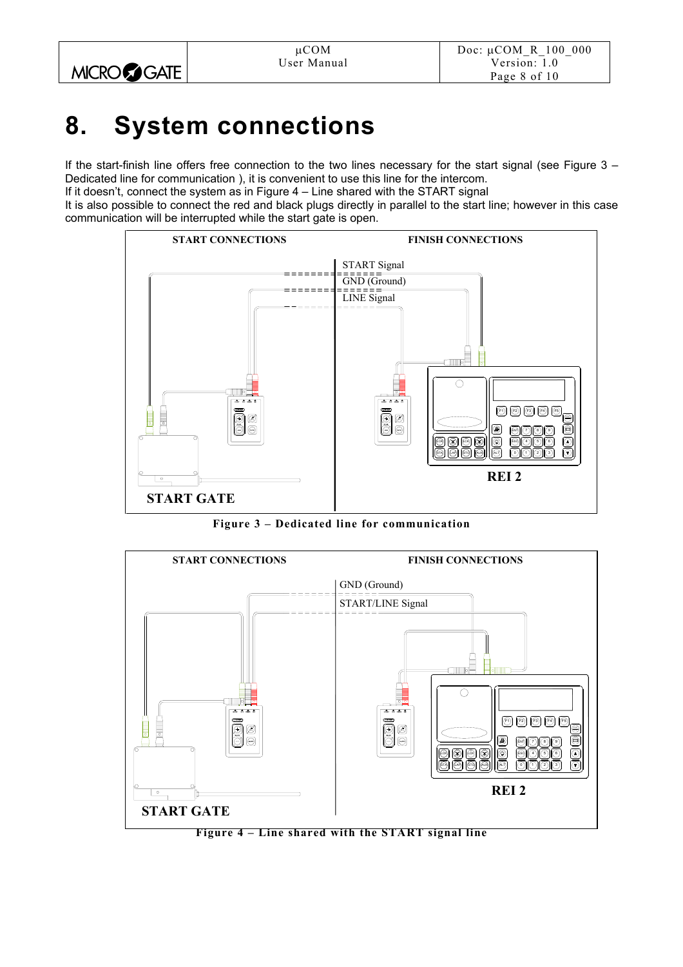### <span id="page-7-0"></span>**8. System connections**

If the start-finish line offers free connection to the two lines necessary for the start signal (see [Figure 3 –](#page-7-1)  [Dedicated line for communication](#page-7-1) ), it is convenient to use this line for the intercom.

If it doesn't, connect the system as in [Figure 4 – Line shared with the START signal](#page-7-2) 

It is also possible to connect the red and black plugs directly in parallel to the start line; however in this case communication will be interrupted while the start gate is open.



<span id="page-7-1"></span>**Figure 3 – Dedicated line for communication** 



<span id="page-7-2"></span>**Figure 4 – Line shared with the START signal line**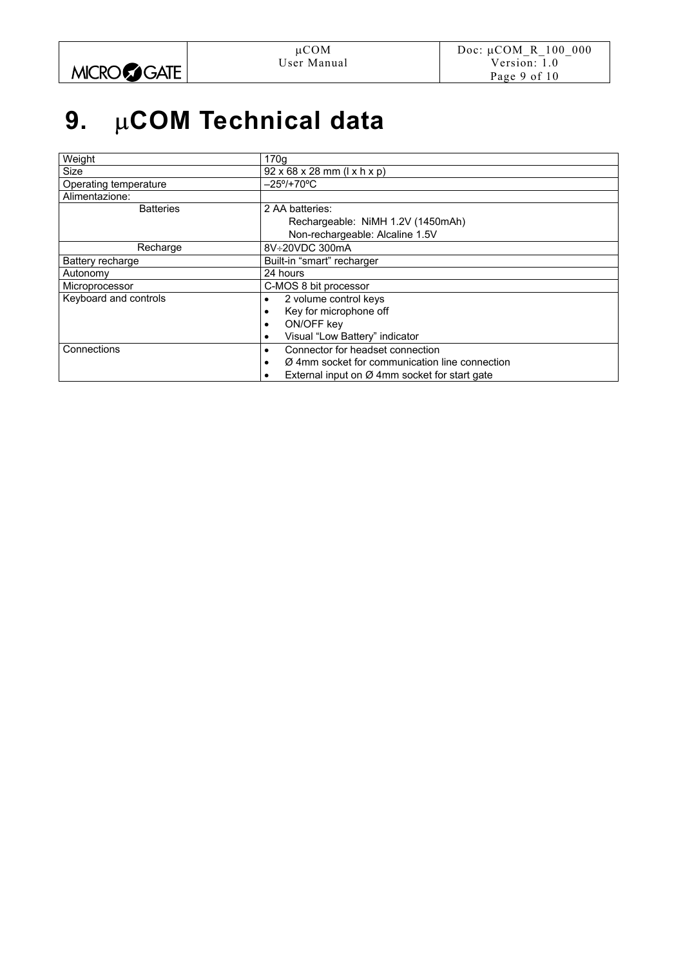<span id="page-8-0"></span>

# **9.** µ**COM Technical data**

| Weight                | 170g                                                       |
|-----------------------|------------------------------------------------------------|
| <b>Size</b>           | $92 \times 68 \times 28$ mm ( $1 \times h \times p$ )      |
| Operating temperature | $-25^{\circ}$ /+70°C                                       |
| Alimentazione:        |                                                            |
| <b>Batteries</b>      | 2 AA batteries:                                            |
|                       | Rechargeable: NiMH 1.2V (1450mAh)                          |
|                       | Non-rechargeable: Alcaline 1.5V                            |
| Recharge              | 8V÷20VDC 300mA                                             |
| Battery recharge      | Built-in "smart" recharger                                 |
| Autonomy              | 24 hours                                                   |
| Microprocessor        | C-MOS 8 bit processor                                      |
| Keyboard and controls | 2 volume control keys<br>$\bullet$                         |
|                       | Key for microphone off<br>$\bullet$                        |
|                       | ON/OFF key<br>$\bullet$                                    |
|                       | Visual "Low Battery" indicator                             |
| Connections           | Connector for headset connection<br>$\bullet$              |
|                       | $\varnothing$ 4mm socket for communication line connection |
|                       | External input on $Ø$ 4mm socket for start gate            |